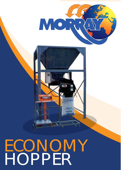

# ECONOMY HOPPER